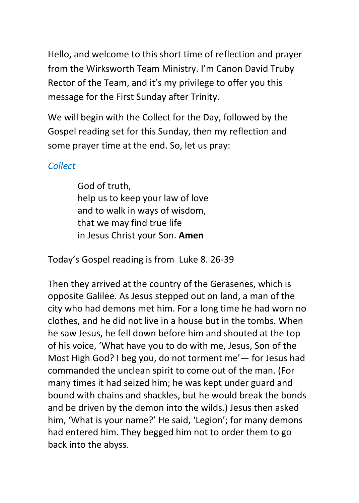Hello, and welcome to this short time of reflection and prayer from the Wirksworth Team Ministry. I'm Canon David Truby Rector of the Team, and it's my privilege to offer you this message for the First Sunday after Trinity.

We will begin with the Collect for the Day, followed by the Gospel reading set for this Sunday, then my reflection and some prayer time at the end. So, let us pray:

# *Collect*

God of truth, help us to keep your law of love and to walk in ways of wisdom, that we may find true life in Jesus Christ your Son. **Amen**

Today's Gospel reading is from Luke 8. 26-39

Then they arrived at the country of the Gerasenes, which is opposite Galilee. As Jesus stepped out on land, a man of the city who had demons met him. For a long time he had worn no clothes, and he did not live in a house but in the tombs. When he saw Jesus, he fell down before him and shouted at the top of his voice, 'What have you to do with me, Jesus, Son of the Most High God? I beg you, do not torment me'— for Jesus had commanded the unclean spirit to come out of the man. (For many times it had seized him; he was kept under guard and bound with chains and shackles, but he would break the bonds and be driven by the demon into the wilds.) Jesus then asked him, 'What is your name?' He said, 'Legion'; for many demons had entered him. They begged him not to order them to go back into the abyss.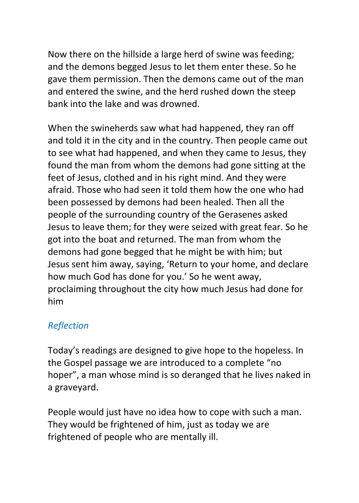Now there on the hillside a large herd of swine was feeding; and the demons begged Jesus to let them enter these. So he gave them permission. Then the demons came out of the man and entered the swine, and the herd rushed down the steep bank into the lake and was drowned.

When the swineherds saw what had happened, they ran off and told it in the city and in the country. Then people came out to see what had happened, and when they came to Jesus, they found the man from whom the demons had gone sitting at the feet of Jesus, clothed and in his right mind. And they were afraid. Those who had seen it told them how the one who had been possessed by demons had been healed. Then all the people of the surrounding country of the Gerasenes asked Jesus to leave them; for they were seized with great fear. So he got into the boat and returned. The man from whom the demons had gone begged that he might be with him; but Jesus sent him away, saying, 'Return to your home, and declare how much God has done for you.' So he went away, proclaiming throughout the city how much Jesus had done for him

## *Reflection*

Today's readings are designed to give hope to the hopeless. In the Gospel passage we are introduced to a complete "no hoper", a man whose mind is so deranged that he lives naked in a graveyard.

People would just have no idea how to cope with such a man. They would be frightened of him, just as today we are frightened of people who are mentally ill.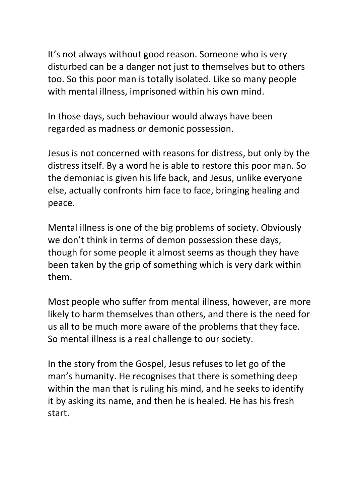It's not always without good reason. Someone who is very disturbed can be a danger not just to themselves but to others too. So this poor man is totally isolated. Like so many people with mental illness, imprisoned within his own mind.

In those days, such behaviour would always have been regarded as madness or demonic possession.

Jesus is not concerned with reasons for distress, but only by the distress itself. By a word he is able to restore this poor man. So the demoniac is given his life back, and Jesus, unlike everyone else, actually confronts him face to face, bringing healing and peace.

Mental illness is one of the big problems of society. Obviously we don't think in terms of demon possession these days, though for some people it almost seems as though they have been taken by the grip of something which is very dark within them.

Most people who suffer from mental illness, however, are more likely to harm themselves than others, and there is the need for us all to be much more aware of the problems that they face. So mental illness is a real challenge to our society.

In the story from the Gospel, Jesus refuses to let go of the man's humanity. He recognises that there is something deep within the man that is ruling his mind, and he seeks to identify it by asking its name, and then he is healed. He has his fresh start.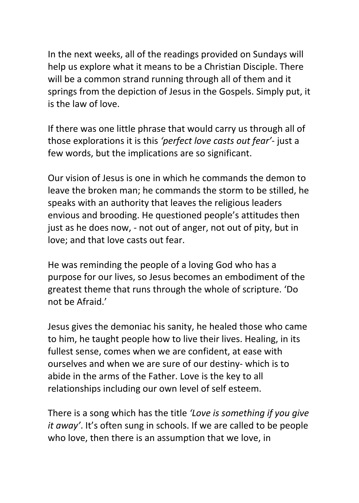In the next weeks, all of the readings provided on Sundays will help us explore what it means to be a Christian Disciple. There will be a common strand running through all of them and it springs from the depiction of Jesus in the Gospels. Simply put, it is the law of love.

If there was one little phrase that would carry us through all of those explorations it is this *'perfect love casts out fear'*- just a few words, but the implications are so significant.

Our vision of Jesus is one in which he commands the demon to leave the broken man; he commands the storm to be stilled, he speaks with an authority that leaves the religious leaders envious and brooding. He questioned people's attitudes then just as he does now, - not out of anger, not out of pity, but in love; and that love casts out fear.

He was reminding the people of a loving God who has a purpose for our lives, so Jesus becomes an embodiment of the greatest theme that runs through the whole of scripture. 'Do not be Afraid.'

Jesus gives the demoniac his sanity, he healed those who came to him, he taught people how to live their lives. Healing, in its fullest sense, comes when we are confident, at ease with ourselves and when we are sure of our destiny- which is to abide in the arms of the Father. Love is the key to all relationships including our own level of self esteem.

There is a song which has the title *'Love is something if you give it away'*. It's often sung in schools. If we are called to be people who love, then there is an assumption that we love, in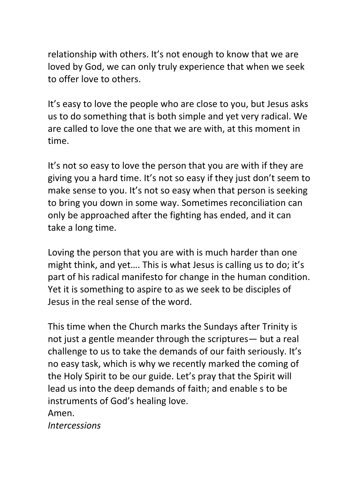relationship with others. It's not enough to know that we are loved by God, we can only truly experience that when we seek to offer love to others.

It's easy to love the people who are close to you, but Jesus asks us to do something that is both simple and yet very radical. We are called to love the one that we are with, at this moment in time.

It's not so easy to love the person that you are with if they are giving you a hard time. It's not so easy if they just don't seem to make sense to you. It's not so easy when that person is seeking to bring you down in some way. Sometimes reconciliation can only be approached after the fighting has ended, and it can take a long time.

Loving the person that you are with is much harder than one might think, and yet…. This is what Jesus is calling us to do; it's part of his radical manifesto for change in the human condition. Yet it is something to aspire to as we seek to be disciples of Jesus in the real sense of the word.

This time when the Church marks the Sundays after Trinity is not just a gentle meander through the scriptures— but a real challenge to us to take the demands of our faith seriously. It's no easy task, which is why we recently marked the coming of the Holy Spirit to be our guide. Let's pray that the Spirit will lead us into the deep demands of faith; and enable s to be instruments of God's healing love. Amen.

*Intercessions*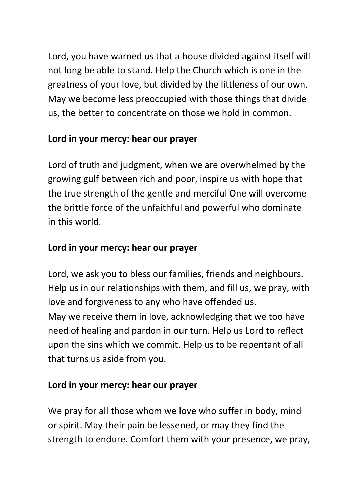Lord, you have warned us that a house divided against itself will not long be able to stand. Help the Church which is one in the greatness of your love, but divided by the littleness of our own. May we become less preoccupied with those things that divide us, the better to concentrate on those we hold in common.

# **Lord in your mercy: hear our prayer**

Lord of truth and judgment, when we are overwhelmed by the growing gulf between rich and poor, inspire us with hope that the true strength of the gentle and merciful One will overcome the brittle force of the unfaithful and powerful who dominate in this world.

# **Lord in your mercy: hear our prayer**

Lord, we ask you to bless our families, friends and neighbours. Help us in our relationships with them, and fill us, we pray, with love and forgiveness to any who have offended us. May we receive them in love, acknowledging that we too have need of healing and pardon in our turn. Help us Lord to reflect upon the sins which we commit. Help us to be repentant of all that turns us aside from you.

# **Lord in your mercy: hear our prayer**

We pray for all those whom we love who suffer in body, mind or spirit. May their pain be lessened, or may they find the strength to endure. Comfort them with your presence, we pray,